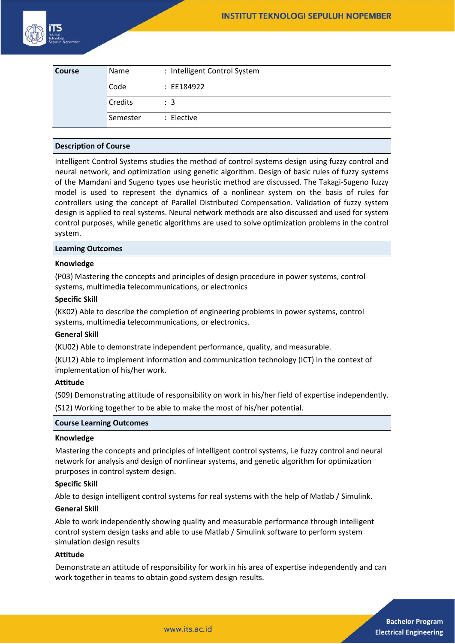

| <b>Course</b> | Name     | : Intelligent Control System |
|---------------|----------|------------------------------|
|               | Code     | : EE184922                   |
|               | Credits  | $\therefore$ 3               |
|               | Semester | : Elective                   |

#### **Description of Course**

Intelligent Control Systems studies the method of control systems design using fuzzy control and neural network, and optimization using genetic algorithm. Design of basic rules of fuzzy systems of the Mamdani and Sugeno types use heuristic method are discussed. The Takagi-Sugeno fuzzy model is used to represent the dynamics of a nonlinear system on the basis of rules for controllers using the concept of Parallel Distributed Compensation. Validation of fuzzy system design is applied to real systems. Neural network methods are also discussed and used for system control purposes, while genetic algorithms are used to solve optimization problems in the control system.

#### **Learning Outcomes**

### **Knowledge**

(P03) Mastering the concepts and principles of design procedure in power systems, control systems, multimedia telecommunications, or electronics

### **Specific Skill**

(KK02) Able to describe the completion of engineering problems in power systems, control systems, multimedia telecommunications, or electronics.

#### **General Skill**

(KU02) Able to demonstrate independent performance, quality, and measurable.

(KU12) Able to implement information and communication technology (ICT) in the context of implementation of his/her work.

# **Attitude**

(S09) Demonstrating attitude of responsibility on work in his/her field of expertise independently. (S12) Working together to be able to make the most of his/her potential.

#### **Course Learning Outcomes**

#### **Knowledge**

Mastering the concepts and principles of intelligent control systems, i.e fuzzy control and neural network for analysis and design of nonlinear systems, and genetic algorithm for optimization prurposes in control system design.

#### **Specific Skill**

Able to design intelligent control systems for real systems with the help of Matlab / Simulink.

#### **General Skill**

Able to work independently showing quality and measurable performance through intelligent control system design tasks and able to use Matlab / Simulink software to perform system simulation design results

#### **Attitude**

Demonstrate an attitude of responsibility for work in his area of expertise independently and can work together in teams to obtain good system design results.